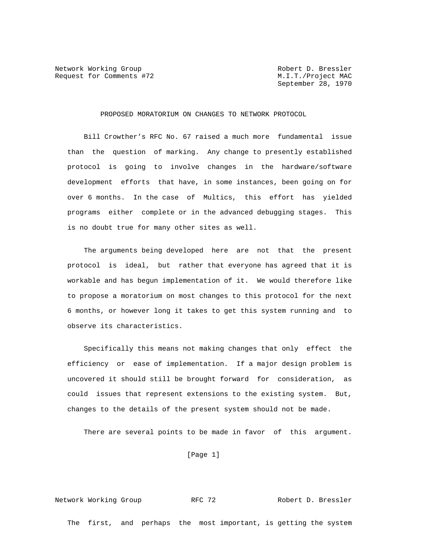Network Working Group and Month Robert D. Bressler Request for Comments #72 M.I.T./Project MAC

September 28, 1970

PROPOSED MORATORIUM ON CHANGES TO NETWORK PROTOCOL

 Bill Crowther's RFC No. 67 raised a much more fundamental issue than the question of marking. Any change to presently established protocol is going to involve changes in the hardware/software development efforts that have, in some instances, been going on for over 6 months. In the case of Multics, this effort has yielded programs either complete or in the advanced debugging stages. This is no doubt true for many other sites as well.

 The arguments being developed here are not that the present protocol is ideal, but rather that everyone has agreed that it is workable and has begun implementation of it. We would therefore like to propose a moratorium on most changes to this protocol for the next 6 months, or however long it takes to get this system running and to observe its characteristics.

 Specifically this means not making changes that only effect the efficiency or ease of implementation. If a major design problem is uncovered it should still be brought forward for consideration, as could issues that represent extensions to the existing system. But, changes to the details of the present system should not be made.

There are several points to be made in favor of this argument.

[Page 1]

Network Working Group **RFC 72** Robert D. Bressler

The first, and perhaps the most important, is getting the system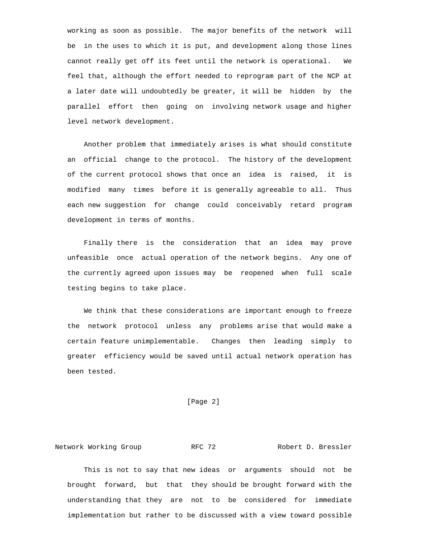working as soon as possible. The major benefits of the network will be in the uses to which it is put, and development along those lines cannot really get off its feet until the network is operational. We feel that, although the effort needed to reprogram part of the NCP at a later date will undoubtedly be greater, it will be hidden by the parallel effort then going on involving network usage and higher level network development.

 Another problem that immediately arises is what should constitute an official change to the protocol. The history of the development of the current protocol shows that once an idea is raised, it is modified many times before it is generally agreeable to all. Thus each new suggestion for change could conceivably retard program development in terms of months.

 Finally there is the consideration that an idea may prove unfeasible once actual operation of the network begins. Any one of the currently agreed upon issues may be reopened when full scale testing begins to take place.

 We think that these considerations are important enough to freeze the network protocol unless any problems arise that would make a certain feature unimplementable. Changes then leading simply to greater efficiency would be saved until actual network operation has been tested.

## [Page 2]

Network Working Group **RFC 72** Robert D. Bressler

 This is not to say that new ideas or arguments should not be brought forward, but that they should be brought forward with the understanding that they are not to be considered for immediate implementation but rather to be discussed with a view toward possible